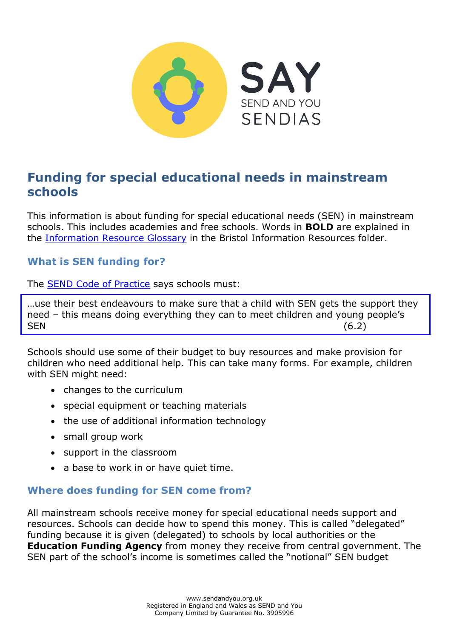

# **Funding for special educational needs in mainstream schools**

This information is about funding for special educational needs (SEN) in mainstream schools. This includes academies and free schools. Words in **BOLD** are explained in the [Information Resource Glossary](https://www.sendandyou.org.uk/wp-content/uploads/2021/08/Information-Resource-Glossary-REVISED2-new.pdf) in the Bristol Information Resources folder.

### **What is SEN funding for?**

The **SEND Code of Practice** says schools must:

…use their best endeavours to make sure that a child with SEN gets the support they need – this means doing everything they can to meet children and young people's SEN (6.2)

Schools should use some of their budget to buy resources and make provision for children who need additional help. This can take many forms. For example, children with SEN might need:

- changes to the curriculum
- special equipment or teaching materials
- the use of additional information technology
- small group work
- support in the classroom
- a base to work in or have quiet time.

#### **Where does funding for SEN come from?**

All mainstream schools receive money for special educational needs support and resources. Schools can decide how to spend this money. This is called "delegated" funding because it is given (delegated) to schools by local authorities or the **Education Funding Agency** from money they receive from central government. The SEN part of the school's income is sometimes called the "notional" SEN budget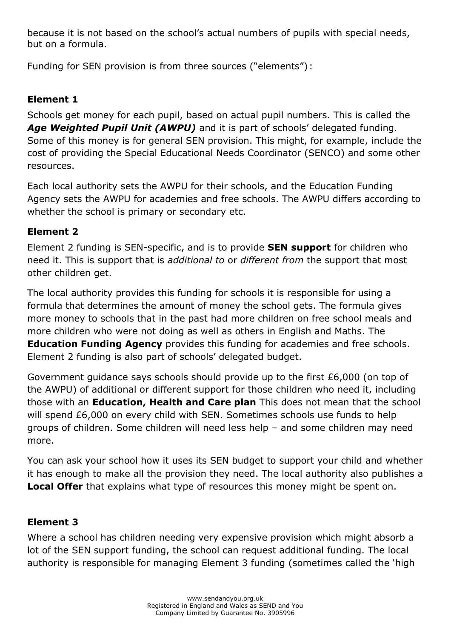because it is not based on the school's actual numbers of pupils with special needs, but on a formula.

Funding for SEN provision is from three sources ("elements") :

## **Element 1**

Schools get money for each pupil, based on actual pupil numbers. This is called the Age Weighted Pupil Unit (AWPU) and it is part of schools' delegated funding. Some of this money is for general SEN provision. This might, for example, include the cost of providing the Special Educational Needs Coordinator (SENCO) and some other resources.

Each local authority sets the AWPU for their schools, and the Education Funding Agency sets the AWPU for academies and free schools. The AWPU differs according to whether the school is primary or secondary etc.

### **Element 2**

Element 2 funding is SEN-specific, and is to provide **SEN support** for children who need it. This is support that is *additional to* or *different from* the support that most other children get.

The local authority provides this funding for schools it is responsible for using a formula that determines the amount of money the school gets. The formula gives more money to schools that in the past had more children on free school meals and more children who were not doing as well as others in English and Maths. The **Education Funding Agency** provides this funding for academies and free schools. Element 2 funding is also part of schools' delegated budget.

Government guidance says schools should provide up to the first £6,000 (on top of the AWPU) of additional or different support for those children who need it, including those with an **Education, Health and Care plan** This does not mean that the school will spend £6,000 on every child with SEN. Sometimes schools use funds to help groups of children. Some children will need less help – and some children may need more.

You can ask your school how it uses its SEN budget to support your child and whether it has enough to make all the provision they need. The local authority also publishes a **Local Offer** that explains what type of resources this money might be spent on.

### **Element 3**

Where a school has children needing very expensive provision which might absorb a lot of the SEN support funding, the school can request additional funding. The local authority is responsible for managing Element 3 funding (sometimes called the 'high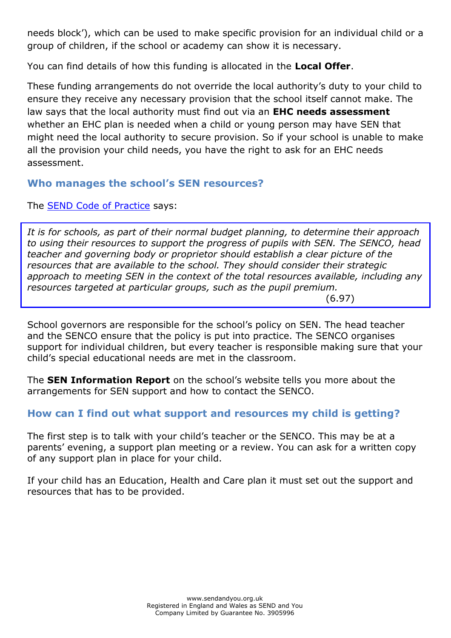needs block'), which can be used to make specific provision for an individual child or a group of children, if the school or academy can show it is necessary.

You can find details of how this funding is allocated in the **Local Offer**.

These funding arrangements do not override the local authority's duty to your child to ensure they receive any necessary provision that the school itself cannot make. The law says that the local authority must find out via an **EHC needs assessment** whether an EHC plan is needed when a child or young person may have SEN that might need the local authority to secure provision. So if your school is unable to make all the provision your child needs, you have the right to ask for an EHC needs assessment.

### **Who manages the school's SEN resources?**

The **SEND Code of Practice** says:

*It is for schools, as part of their normal budget planning, to determine their approach to using their resources to support the progress of pupils with SEN. The SENCO, head teacher and governing body or proprietor should establish a clear picture of the resources that are available to the school. They should consider their strategic approach to meeting SEN in the context of the total resources available, including any resources targeted at particular groups, such as the pupil premium.* 

(6.97)

School governors are responsible for the school's policy on SEN. The head teacher and the SENCO ensure that the policy is put into practice. The SENCO organises support for individual children, but every teacher is responsible making sure that your child's special educational needs are met in the classroom.

The **SEN Information Report** on the school's website tells you more about the arrangements for SEN support and how to contact the SENCO.

### **How can I find out what support and resources my child is getting?**

The first step is to talk with your child's teacher or the SENCO. This may be at a parents' evening, a support plan meeting or a review. You can ask for a written copy of any support plan in place for your child.

If your child has an Education, Health and Care plan it must set out the support and resources that has to be provided.